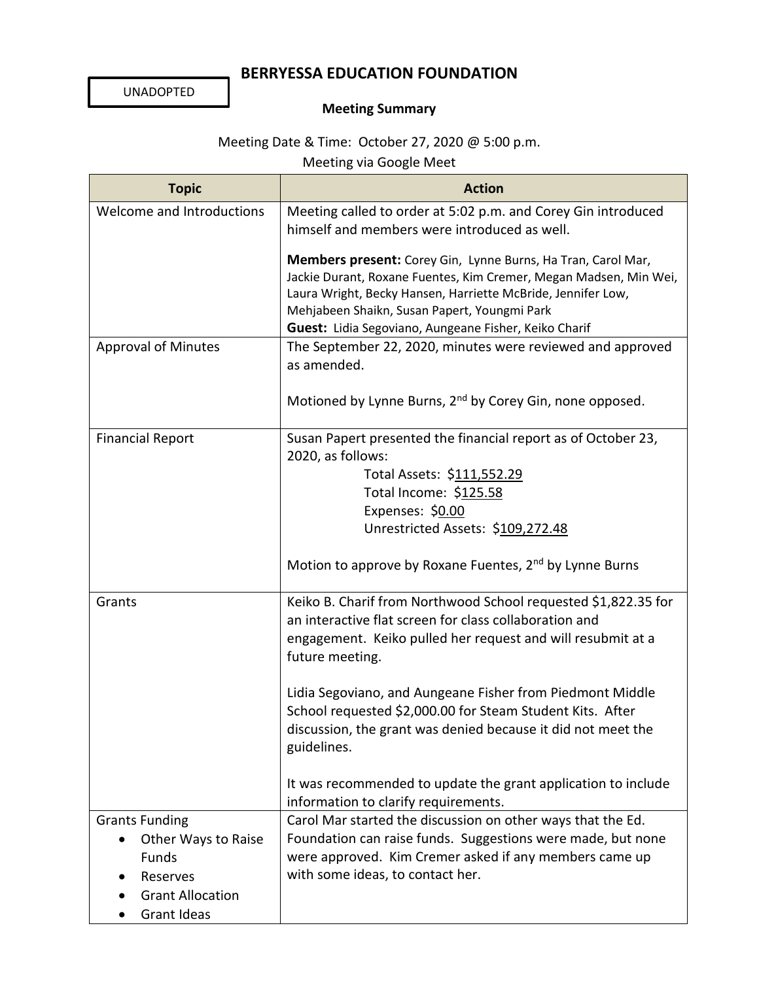## **BERRYESSA EDUCATION FOUNDATION**

UNADOPTED

## **Meeting Summary**

## Meeting Date & Time: October 27, 2020 @ 5:00 p.m.

Meeting via Google Meet

| <b>Topic</b>                                                                                                                    | <b>Action</b>                                                                                                                                                                                                                                                                                              |
|---------------------------------------------------------------------------------------------------------------------------------|------------------------------------------------------------------------------------------------------------------------------------------------------------------------------------------------------------------------------------------------------------------------------------------------------------|
| Welcome and Introductions                                                                                                       | Meeting called to order at 5:02 p.m. and Corey Gin introduced<br>himself and members were introduced as well.                                                                                                                                                                                              |
|                                                                                                                                 | Members present: Corey Gin, Lynne Burns, Ha Tran, Carol Mar,<br>Jackie Durant, Roxane Fuentes, Kim Cremer, Megan Madsen, Min Wei,<br>Laura Wright, Becky Hansen, Harriette McBride, Jennifer Low,<br>Mehjabeen Shaikn, Susan Papert, Youngmi Park<br>Guest: Lidia Segoviano, Aungeane Fisher, Keiko Charif |
| <b>Approval of Minutes</b>                                                                                                      | The September 22, 2020, minutes were reviewed and approved<br>as amended.                                                                                                                                                                                                                                  |
|                                                                                                                                 | Motioned by Lynne Burns, 2 <sup>nd</sup> by Corey Gin, none opposed.                                                                                                                                                                                                                                       |
| <b>Financial Report</b>                                                                                                         | Susan Papert presented the financial report as of October 23,<br>2020, as follows:<br>Total Assets: \$111,552.29<br>Total Income: \$125.58<br>Expenses: \$0.00<br>Unrestricted Assets: \$109,272.48                                                                                                        |
|                                                                                                                                 | Motion to approve by Roxane Fuentes, 2 <sup>nd</sup> by Lynne Burns                                                                                                                                                                                                                                        |
| Grants                                                                                                                          | Keiko B. Charif from Northwood School requested \$1,822.35 for<br>an interactive flat screen for class collaboration and<br>engagement. Keiko pulled her request and will resubmit at a<br>future meeting.                                                                                                 |
|                                                                                                                                 | Lidia Segoviano, and Aungeane Fisher from Piedmont Middle<br>School requested \$2,000.00 for Steam Student Kits. After<br>discussion, the grant was denied because it did not meet the<br>guidelines.                                                                                                      |
|                                                                                                                                 | It was recommended to update the grant application to include<br>information to clarify requirements.                                                                                                                                                                                                      |
| <b>Grants Funding</b><br>Other Ways to Raise<br>$\bullet$<br>Funds<br>Reserves<br><b>Grant Allocation</b><br><b>Grant Ideas</b> | Carol Mar started the discussion on other ways that the Ed.<br>Foundation can raise funds. Suggestions were made, but none<br>were approved. Kim Cremer asked if any members came up<br>with some ideas, to contact her.                                                                                   |